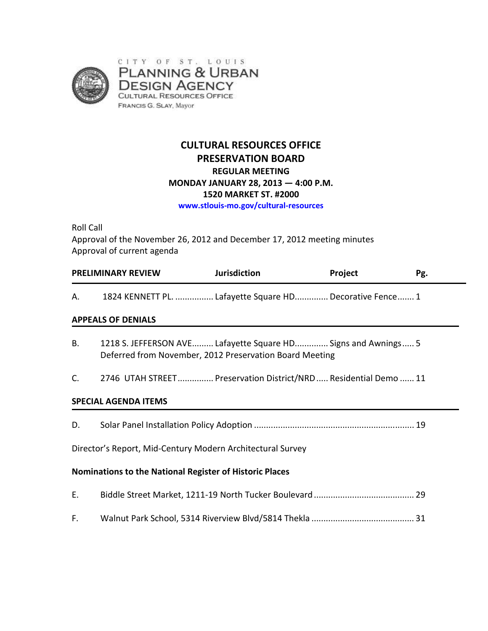

# **CULTURAL RESOURCES OFFICE PRESERVATION BOARD REGULAR MEETING MONDAY JANUARY 28, 2013 — 4:00 P.M. 1520 MARKET ST. #2000 www.stlouis-mo.gov/cultural-resources**

Roll Call Approval of the November 26, 2012 and December 17, 2012 meeting minutes Approval of current agenda

|    | <b>PRELIMINARY REVIEW</b> | Jurisdiction                                             | <b>Project</b> | Pg. |
|----|---------------------------|----------------------------------------------------------|----------------|-----|
| Α. |                           | 1824 KENNETT PL.  Lafayette Square HD Decorative Fence 1 |                |     |

### **APPEALS OF DENIALS**

- B. 1218 S. JEFFERSON AVE......... Lafayette Square HD.............. Signs and Awnings..... 5 Deferred from November, 2012 Preservation Board Meeting
- C. 2746 UTAH STREET............... Preservation District/NRD..... Residential Demo ...... 11

### **SPECIAL AGENDA ITEMS**

D. Solar Panel Installation Policy Adoption ................................................................... 19

Director's Report, Mid-Century Modern Architectural Survey

### **Nominations to the National Register of Historic Places**

| E. |  |
|----|--|
|    |  |
| F. |  |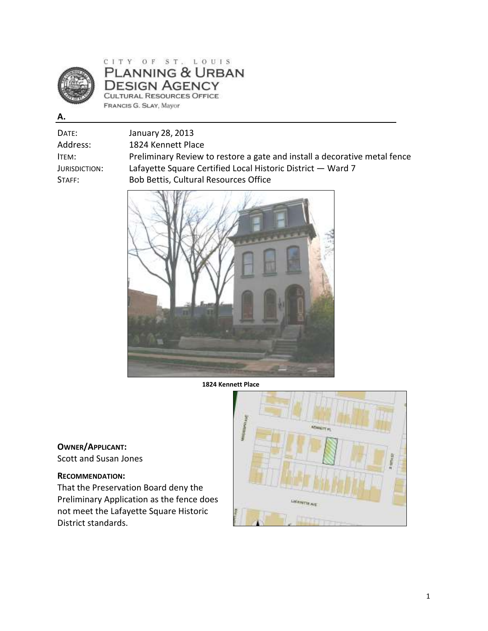

# CITY OF ST. LOUIS<br>PLANNING & URBAN **DESIGN AGENCY** CULTURAL RESOURCES OFFICE FRANCIS G. SLAY, Mayor

|--|

| Date:         | January 28, 2013                                                          |
|---------------|---------------------------------------------------------------------------|
| Address:      | 1824 Kennett Place                                                        |
| ITEM:         | Preliminary Review to restore a gate and install a decorative metal fence |
| Jurisdiction: | Lafayette Square Certified Local Historic District - Ward 7               |
| STATE:        | Bob Bettis, Cultural Resources Office                                     |
|               |                                                                           |



**1824 Kennett Place** 

# **OWNER/APPLICANT:**

Scott and Susan Jones

### **RECOMMENDATION:**

That the Preservation Board deny the Preliminary Application as the fence does not meet the Lafayette Square Historic District standards.

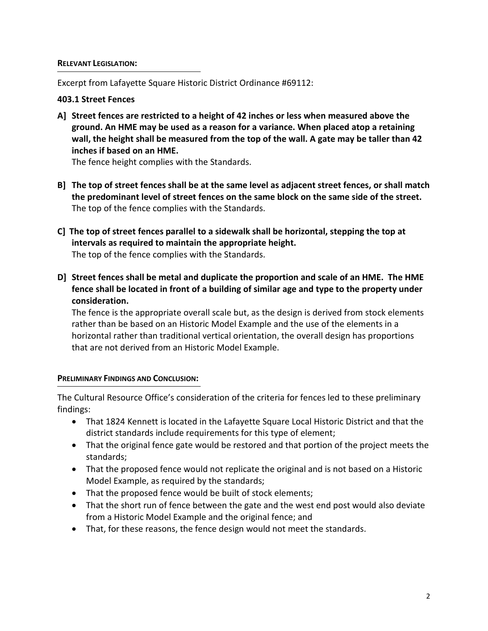#### **RELEVANT LEGISLATION:**

Excerpt from Lafayette Square Historic District Ordinance #69112:

### **403.1 Street Fences**

**A] Street fences are restricted to a height of 42 inches or less when measured above the ground. An HME may be used as a reason for a variance. When placed atop a retaining wall, the height shall be measured from the top of the wall. A gate may be taller than 42 inches if based on an HME.** 

The fence height complies with the Standards.

- **B] The top of street fences shall be at the same level as adjacent street fences, or shall match the predominant level of street fences on the same block on the same side of the street.**  The top of the fence complies with the Standards.
- **C] The top of street fences parallel to a sidewalk shall be horizontal, stepping the top at intervals as required to maintain the appropriate height.**  The top of the fence complies with the Standards.
- **D] Street fences shall be metal and duplicate the proportion and scale of an HME. The HME fence shall be located in front of a building of similar age and type to the property under consideration.**

The fence is the appropriate overall scale but, as the design is derived from stock elements rather than be based on an Historic Model Example and the use of the elements in a horizontal rather than traditional vertical orientation, the overall design has proportions that are not derived from an Historic Model Example.

### **PRELIMINARY FINDINGS AND CONCLUSION:**

The Cultural Resource Office's consideration of the criteria for fences led to these preliminary findings:

- That 1824 Kennett is located in the Lafayette Square Local Historic District and that the district standards include requirements for this type of element;
- That the original fence gate would be restored and that portion of the project meets the standards;
- That the proposed fence would not replicate the original and is not based on a Historic Model Example, as required by the standards;
- That the proposed fence would be built of stock elements;
- That the short run of fence between the gate and the west end post would also deviate from a Historic Model Example and the original fence; and
- That, for these reasons, the fence design would not meet the standards.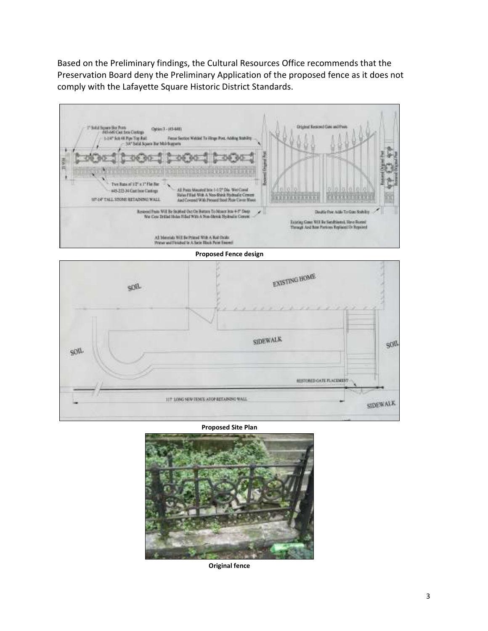Based on the Preliminary findings, the Cultural Resources Office recommends that the Preservation Board deny the Preliminary Application of the proposed fence as it does not comply with the Lafayette Square Historic District Standards.





**Proposed Site Plan** 



**Original fence**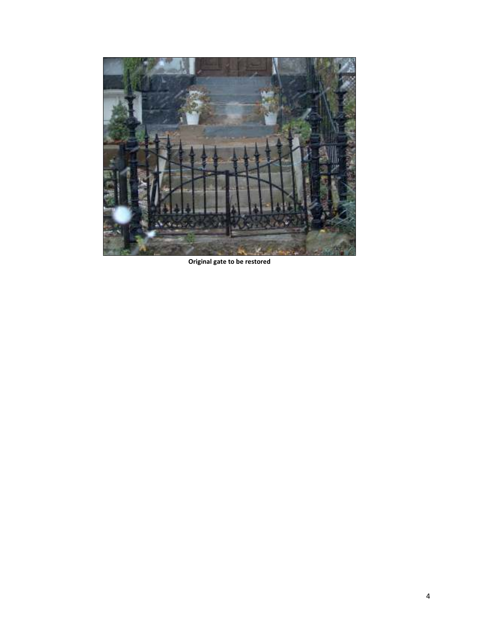

**Original gate to be restored**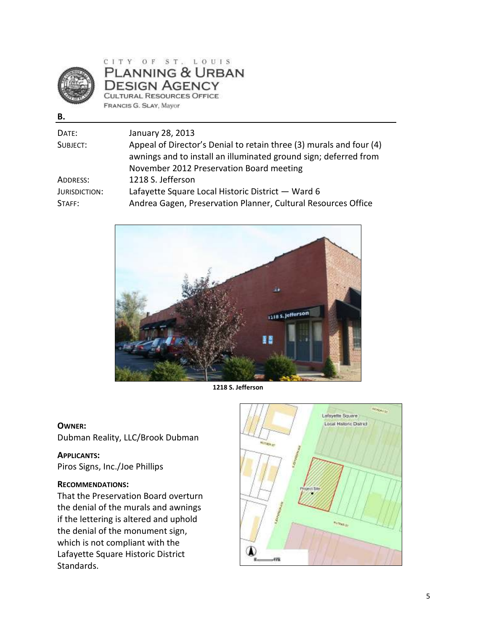

CITY OF ST. LOUIS PLANNING & URBAN **DESIGN AGENCY** CULTURAL RESOURCES OFFICE FRANCIS G. SLAY, Mayor

| I<br>۰, |  |
|---------|--|

| DATE:                | January 28, 2013                                                                                                                        |
|----------------------|-----------------------------------------------------------------------------------------------------------------------------------------|
| SUBJECT:             | Appeal of Director's Denial to retain three (3) murals and four (4)<br>awnings and to install an illuminated ground sign; deferred from |
|                      | November 2012 Preservation Board meeting                                                                                                |
| ADDRESS:             | 1218 S. Jefferson                                                                                                                       |
| <b>JURISDICTION:</b> | Lafayette Square Local Historic District - Ward 6                                                                                       |
| STAFF:               | Andrea Gagen, Preservation Planner, Cultural Resources Office                                                                           |



**1218 S. Jefferson** 

#### **OWNER:**

Dubman Reality, LLC/Brook Dubman

**APPLICANTS:** Piros Signs, Inc./Joe Phillips

#### **RECOMMENDATIONS:**

That the Preservation Board overturn the denial of the murals and awnings if the lettering is altered and uphold the denial of the monument sign, which is not compliant with the Lafayette Square Historic District Standards.

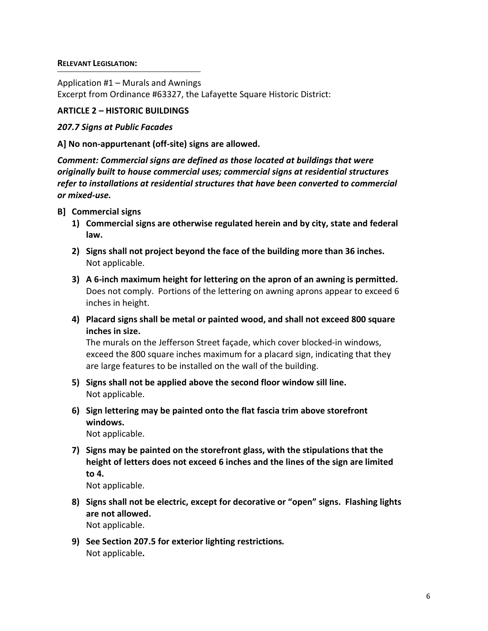#### **RELEVANT LEGISLATION:**

Application #1 – Murals and Awnings

Excerpt from Ordinance #63327, the Lafayette Square Historic District:

## **ARTICLE 2 – HISTORIC BUILDINGS**

### *207.7 Signs at Public Facades*

## **A] No non-appurtenant (off-site) signs are allowed.**

*Comment: Commercial signs are defined as those located at buildings that were originally built to house commercial uses; commercial signs at residential structures refer to installations at residential structures that have been converted to commercial or mixed-use.* 

- **B] Commercial signs** 
	- **1) Commercial signs are otherwise regulated herein and by city, state and federal law.**
	- **2) Signs shall not project beyond the face of the building more than 36 inches.**  Not applicable.
	- **3) A 6-inch maximum height for lettering on the apron of an awning is permitted.**  Does not comply. Portions of the lettering on awning aprons appear to exceed 6 inches in height.
	- **4) Placard signs shall be metal or painted wood, and shall not exceed 800 square inches in size.**

The murals on the Jefferson Street façade, which cover blocked-in windows, exceed the 800 square inches maximum for a placard sign, indicating that they are large features to be installed on the wall of the building.

- **5) Signs shall not be applied above the second floor window sill line.** Not applicable.
- **6)****Sign lettering may be painted onto the flat fascia trim above storefront windows.**

Not applicable.

**7)****Signs may be painted on the storefront glass, with the stipulations that the height of letters does not exceed 6 inches and the lines of the sign are limited to 4.** 

Not applicable.

- **8) Signs shall not be electric, except for decorative or "open" signs. Flashing lights are not allowed.**  Not applicable.
- **9)****See Section 207.5 for exterior lighting restrictions***.* Not applicable**.**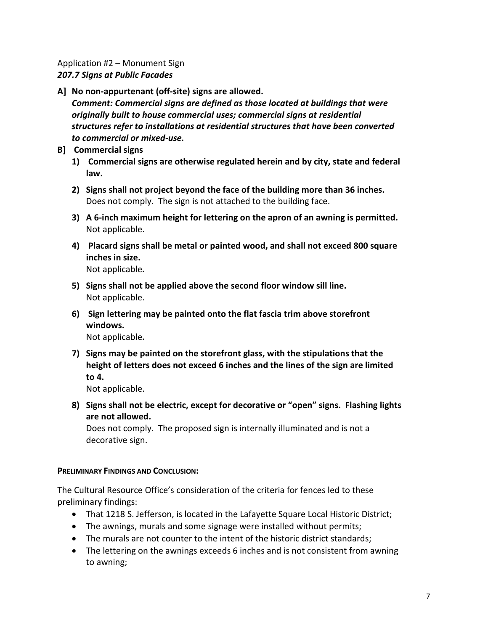### Application #2 – Monument Sign *207.7 Signs at Public Facades*

- **A]****No non-appurtenant (off-site) signs are allowed.**  *Comment: Commercial signs are defined as those located at buildings that were originally built to house commercial uses; commercial signs at residential structures refer to installations at residential structures that have been converted to commercial or mixed-use.*
- **B] Commercial signs** 
	- **1) Commercial signs are otherwise regulated herein and by city, state and federal law.**
	- **2) Signs shall not project beyond the face of the building more than 36 inches.**  Does not comply. The sign is not attached to the building face.
	- **3) A 6-inch maximum height for lettering on the apron of an awning is permitted.**  Not applicable.
	- **4) Placard signs shall be metal or painted wood, and shall not exceed 800 square inches in size.**

Not applicable**.**

- **5) Signs shall not be applied above the second floor window sill line.**  Not applicable.
- **6) Sign lettering may be painted onto the flat fascia trim above storefront windows.**  Not applicable**.**
- **7) Signs may be painted on the storefront glass, with the stipulations that the height of letters does not exceed 6 inches and the lines of the sign are limited to 4.**

Not applicable.

**8) Signs shall not be electric, except for decorative or "open" signs. Flashing lights are not allowed.** 

Does not comply. The proposed sign is internally illuminated and is not a decorative sign.

### **PRELIMINARY FINDINGS AND CONCLUSION:**

The Cultural Resource Office's consideration of the criteria for fences led to these preliminary findings:

- That 1218 S. Jefferson, is located in the Lafayette Square Local Historic District;
- The awnings, murals and some signage were installed without permits;
- The murals are not counter to the intent of the historic district standards;
- The lettering on the awnings exceeds 6 inches and is not consistent from awning to awning;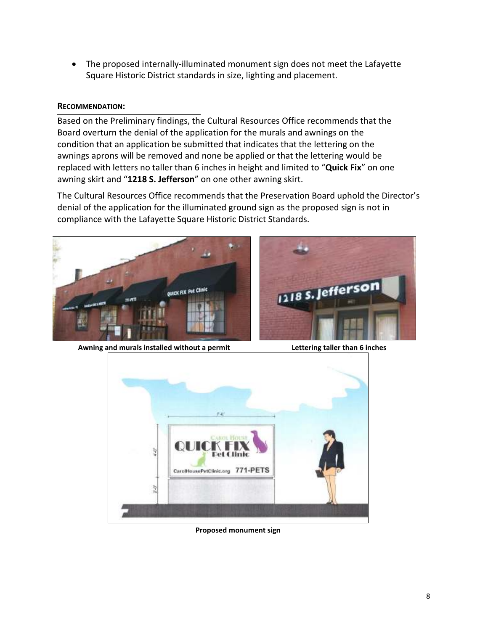• The proposed internally-illuminated monument sign does not meet the Lafayette Square Historic District standards in size, lighting and placement.

### **RECOMMENDATION:**

Based on the Preliminary findings, the Cultural Resources Office recommends that the Board overturn the denial of the application for the murals and awnings on the condition that an application be submitted that indicates that the lettering on the awnings aprons will be removed and none be applied or that the lettering would be replaced with letters no taller than 6 inches in height and limited to "**Quick Fix**" on one awning skirt and "**1218 S. Jefferson**" on one other awning skirt.

The Cultural Resources Office recommends that the Preservation Board uphold the Director's denial of the application for the illuminated ground sign as the proposed sign is not in compliance with the Lafayette Square Historic District Standards.





**Awning and murals installed without a permit Lettering taller than 6 inches**



**Proposed monument sign**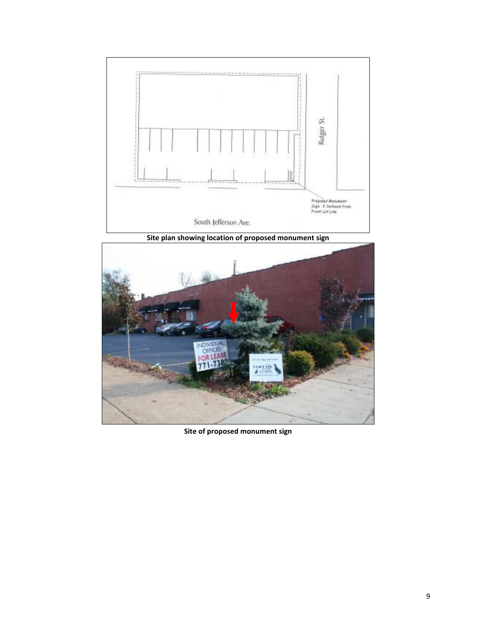

**Site plan showing location of proposed monument sign**



**Site of proposed monument sign**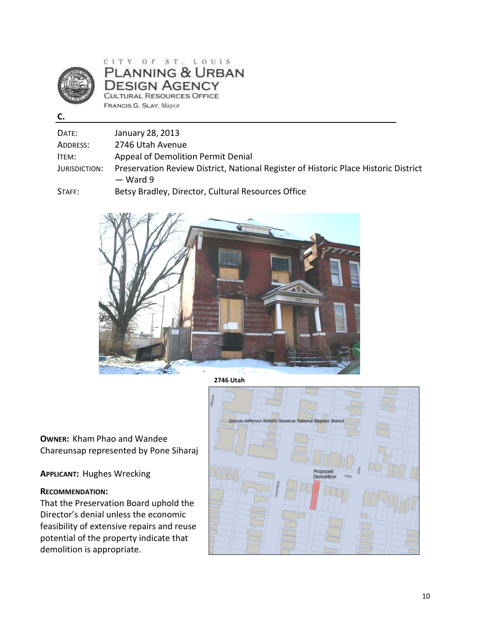

CITY OF ST. LOUIS PLANNING & URBAN **DESIGN AGENCY CULTURAL RESOURCES OFFICE** FRANCIS G. SLAY, Mayor

**C.** 

| DATE:         | January 28, 2013                                                                                  |
|---------------|---------------------------------------------------------------------------------------------------|
| ADDRESS:      | 2746 Utah Avenue                                                                                  |
| ITEM:         | Appeal of Demolition Permit Denial                                                                |
| JURISDICTION: | Preservation Review District, National Register of Historic Place Historic District<br>$-$ Ward 9 |
| $C - C - C$   | Detau Deadlau, Disaatas, Cultural Desaussas Office                                                |

STAFF: Betsy Bradley, Director, Cultural Resources Office



**2746 Utah** 

**OWNER:** Kham Phao and Wandee Chareunsap represented by Pone Siharaj

**APPLICANT:** Hughes Wrecking

### **RECOMMENDATION:**

That the Preservation Board uphold the Director's denial unless the economic feasibility of extensive repairs and reuse potential of the property indicate that demolition is appropriate.

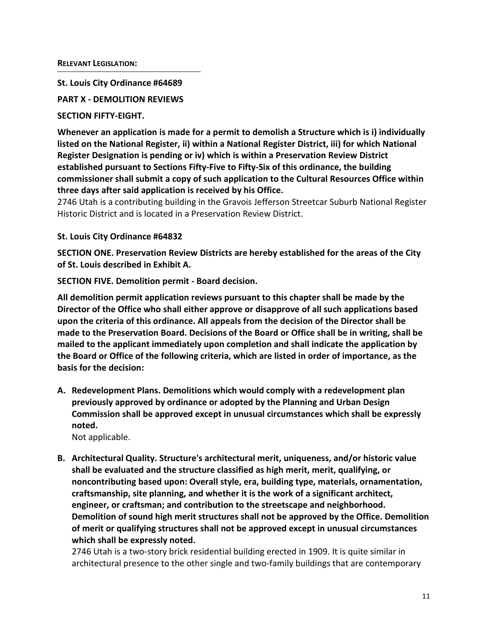**St. Louis City Ordinance #64689** 

**PART X - DEMOLITION REVIEWS** 

### **SECTION FIFTY-EIGHT.**

**Whenever an application is made for a permit to demolish a Structure which is i) individually listed on the National Register, ii) within a National Register District, iii) for which National Register Designation is pending or iv) which is within a Preservation Review District established pursuant to Sections Fifty-Five to Fifty-Six of this ordinance, the building commissioner shall submit a copy of such application to the Cultural Resources Office within three days after said application is received by his Office.** 

2746 Utah is a contributing building in the Gravois Jefferson Streetcar Suburb National Register Historic District and is located in a Preservation Review District.

### **St. Louis City Ordinance #64832**

**SECTION ONE. Preservation Review Districts are hereby established for the areas of the City of St. Louis described in Exhibit A.** 

**SECTION FIVE. Demolition permit - Board decision.** 

**All demolition permit application reviews pursuant to this chapter shall be made by the Director of the Office who shall either approve or disapprove of all such applications based upon the criteria of this ordinance. All appeals from the decision of the Director shall be made to the Preservation Board. Decisions of the Board or Office shall be in writing, shall be mailed to the applicant immediately upon completion and shall indicate the application by the Board or Office of the following criteria, which are listed in order of importance, as the basis for the decision:** 

**A. Redevelopment Plans. Demolitions which would comply with a redevelopment plan previously approved by ordinance or adopted by the Planning and Urban Design Commission shall be approved except in unusual circumstances which shall be expressly noted.** 

Not applicable.

**B. Architectural Quality. Structure's architectural merit, uniqueness, and/or historic value shall be evaluated and the structure classified as high merit, merit, qualifying, or noncontributing based upon: Overall style, era, building type, materials, ornamentation, craftsmanship, site planning, and whether it is the work of a significant architect, engineer, or craftsman; and contribution to the streetscape and neighborhood. Demolition of sound high merit structures shall not be approved by the Office. Demolition of merit or qualifying structures shall not be approved except in unusual circumstances which shall be expressly noted.** 

2746 Utah is a two-story brick residential building erected in 1909. It is quite similar in architectural presence to the other single and two-family buildings that are contemporary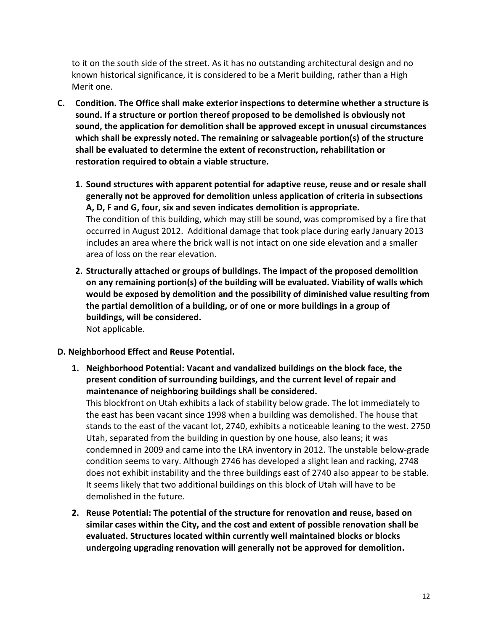to it on the south side of the street. As it has no outstanding architectural design and no known historical significance, it is considered to be a Merit building, rather than a High Merit one.

- **C. Condition. The Office shall make exterior inspections to determine whether a structure is sound. If a structure or portion thereof proposed to be demolished is obviously not sound, the application for demolition shall be approved except in unusual circumstances which shall be expressly noted. The remaining or salvageable portion(s) of the structure shall be evaluated to determine the extent of reconstruction, rehabilitation or restoration required to obtain a viable structure.** 
	- **1. Sound structures with apparent potential for adaptive reuse, reuse and or resale shall generally not be approved for demolition unless application of criteria in subsections A, D, F and G, four, six and seven indicates demolition is appropriate.**  The condition of this building, which may still be sound, was compromised by a fire that occurred in August 2012. Additional damage that took place during early January 2013 includes an area where the brick wall is not intact on one side elevation and a smaller area of loss on the rear elevation.
	- **2. Structurally attached or groups of buildings. The impact of the proposed demolition on any remaining portion(s) of the building will be evaluated. Viability of walls which would be exposed by demolition and the possibility of diminished value resulting from the partial demolition of a building, or of one or more buildings in a group of buildings, will be considered.**  Not applicable.

### **D. Neighborhood Effect and Reuse Potential.**

**1. Neighborhood Potential: Vacant and vandalized buildings on the block face, the present condition of surrounding buildings, and the current level of repair and maintenance of neighboring buildings shall be considered.** 

This blockfront on Utah exhibits a lack of stability below grade. The lot immediately to the east has been vacant since 1998 when a building was demolished. The house that stands to the east of the vacant lot, 2740, exhibits a noticeable leaning to the west. 2750 Utah, separated from the building in question by one house, also leans; it was condemned in 2009 and came into the LRA inventory in 2012. The unstable below-grade condition seems to vary. Although 2746 has developed a slight lean and racking, 2748 does not exhibit instability and the three buildings east of 2740 also appear to be stable. It seems likely that two additional buildings on this block of Utah will have to be demolished in the future.

**2. Reuse Potential: The potential of the structure for renovation and reuse, based on similar cases within the City, and the cost and extent of possible renovation shall be evaluated. Structures located within currently well maintained blocks or blocks undergoing upgrading renovation will generally not be approved for demolition.**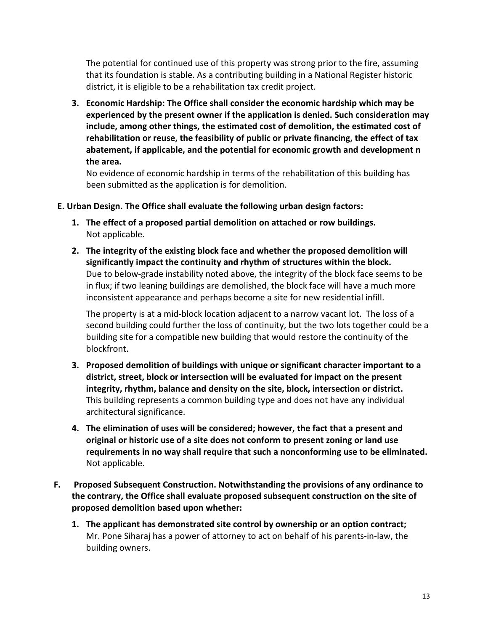The potential for continued use of this property was strong prior to the fire, assuming that its foundation is stable. As a contributing building in a National Register historic district, it is eligible to be a rehabilitation tax credit project.

**3. Economic Hardship: The Office shall consider the economic hardship which may be experienced by the present owner if the application is denied. Such consideration may include, among other things, the estimated cost of demolition, the estimated cost of rehabilitation or reuse, the feasibility of public or private financing, the effect of tax abatement, if applicable, and the potential for economic growth and development n the area.** 

No evidence of economic hardship in terms of the rehabilitation of this building has been submitted as the application is for demolition.

### **E. Urban Design. The Office shall evaluate the following urban design factors:**

- **1. The effect of a proposed partial demolition on attached or row buildings.**  Not applicable.
- **2. The integrity of the existing block face and whether the proposed demolition will significantly impact the continuity and rhythm of structures within the block.**  Due to below-grade instability noted above, the integrity of the block face seems to be in flux; if two leaning buildings are demolished, the block face will have a much more inconsistent appearance and perhaps become a site for new residential infill.

The property is at a mid-block location adjacent to a narrow vacant lot. The loss of a second building could further the loss of continuity, but the two lots together could be a building site for a compatible new building that would restore the continuity of the blockfront.

- **3. Proposed demolition of buildings with unique or significant character important to a district, street, block or intersection will be evaluated for impact on the present integrity, rhythm, balance and density on the site, block, intersection or district.**  This building represents a common building type and does not have any individual architectural significance.
- **4. The elimination of uses will be considered; however, the fact that a present and original or historic use of a site does not conform to present zoning or land use requirements in no way shall require that such a nonconforming use to be eliminated.**  Not applicable.
- **F. Proposed Subsequent Construction. Notwithstanding the provisions of any ordinance to the contrary, the Office shall evaluate proposed subsequent construction on the site of proposed demolition based upon whether:** 
	- **1. The applicant has demonstrated site control by ownership or an option contract;**  Mr. Pone Siharaj has a power of attorney to act on behalf of his parents-in-law, the building owners.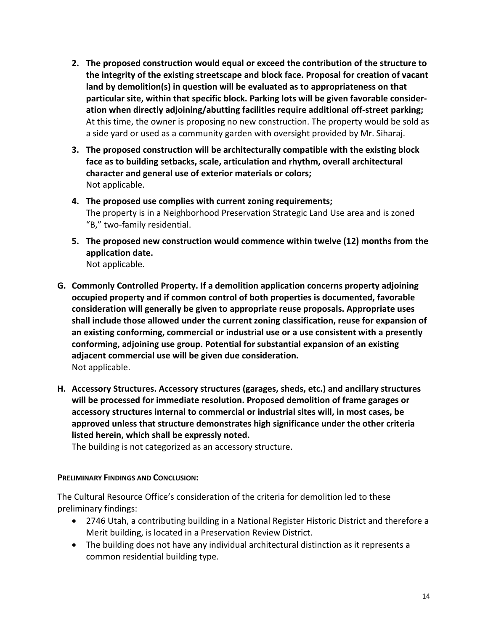- **2. The proposed construction would equal or exceed the contribution of the structure to the integrity of the existing streetscape and block face. Proposal for creation of vacant land by demolition(s) in question will be evaluated as to appropriateness on that particular site, within that specific block. Parking lots will be given favorable consideration when directly adjoining/abutting facilities require additional off-street parking;**  At this time, the owner is proposing no new construction. The property would be sold as a side yard or used as a community garden with oversight provided by Mr. Siharaj.
- **3. The proposed construction will be architecturally compatible with the existing block face as to building setbacks, scale, articulation and rhythm, overall architectural character and general use of exterior materials or colors;**  Not applicable.
- **4. The proposed use complies with current zoning requirements;**  The property is in a Neighborhood Preservation Strategic Land Use area and is zoned "B," two-family residential.
- **5. The proposed new construction would commence within twelve (12) months from the application date.**  Not applicable.
- **G. Commonly Controlled Property. If a demolition application concerns property adjoining occupied property and if common control of both properties is documented, favorable consideration will generally be given to appropriate reuse proposals. Appropriate uses shall include those allowed under the current zoning classification, reuse for expansion of an existing conforming, commercial or industrial use or a use consistent with a presently conforming, adjoining use group. Potential for substantial expansion of an existing adjacent commercial use will be given due consideration.**  Not applicable.
- **H. Accessory Structures. Accessory structures (garages, sheds, etc.) and ancillary structures will be processed for immediate resolution. Proposed demolition of frame garages or accessory structures internal to commercial or industrial sites will, in most cases, be approved unless that structure demonstrates high significance under the other criteria listed herein, which shall be expressly noted.**

The building is not categorized as an accessory structure.

### **PRELIMINARY FINDINGS AND CONCLUSION:**

The Cultural Resource Office's consideration of the criteria for demolition led to these preliminary findings:

- 2746 Utah, a contributing building in a National Register Historic District and therefore a Merit building, is located in a Preservation Review District.
- The building does not have any individual architectural distinction as it represents a common residential building type.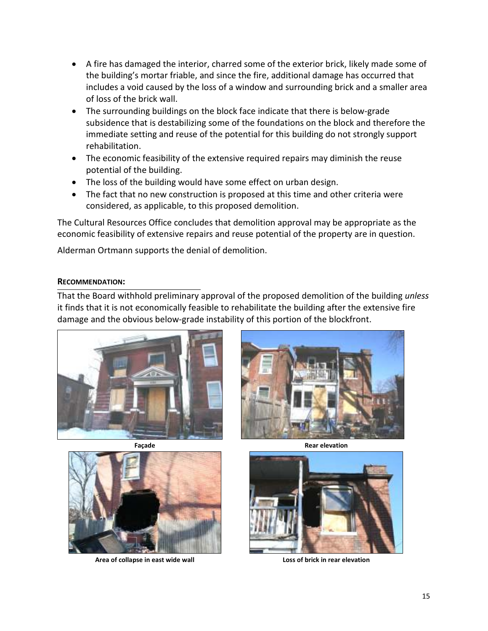- A fire has damaged the interior, charred some of the exterior brick, likely made some of the building's mortar friable, and since the fire, additional damage has occurred that includes a void caused by the loss of a window and surrounding brick and a smaller area of loss of the brick wall.
- The surrounding buildings on the block face indicate that there is below-grade subsidence that is destabilizing some of the foundations on the block and therefore the immediate setting and reuse of the potential for this building do not strongly support rehabilitation.
- The economic feasibility of the extensive required repairs may diminish the reuse potential of the building.
- The loss of the building would have some effect on urban design.
- The fact that no new construction is proposed at this time and other criteria were considered, as applicable, to this proposed demolition.

The Cultural Resources Office concludes that demolition approval may be appropriate as the economic feasibility of extensive repairs and reuse potential of the property are in question.

Alderman Ortmann supports the denial of demolition.

### **RECOMMENDATION:**

That the Board withhold preliminary approval of the proposed demolition of the building *unless* it finds that it is not economically feasible to rehabilitate the building after the extensive fire damage and the obvious below-grade instability of this portion of the blockfront.







Area of collapse in east wide wall **Loss of brick in rear elevation** 

**Façade** Rear elevation **Rear elevation** 

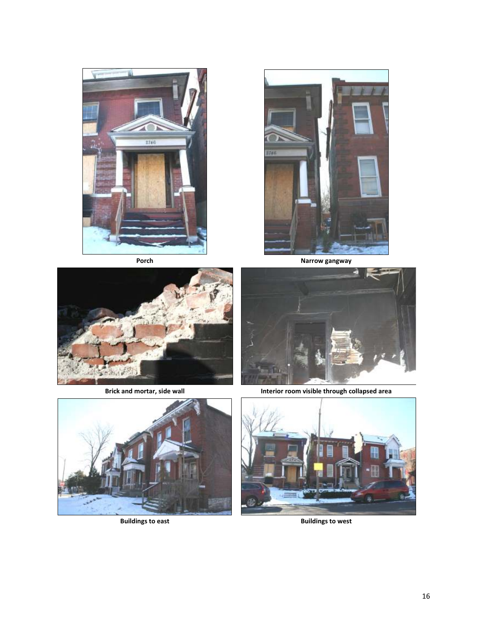







Buildings to east **Buildings to west Buildings** to west





**Brick and mortar, side wall <b>Interior Interior room visible through collapsed area** 

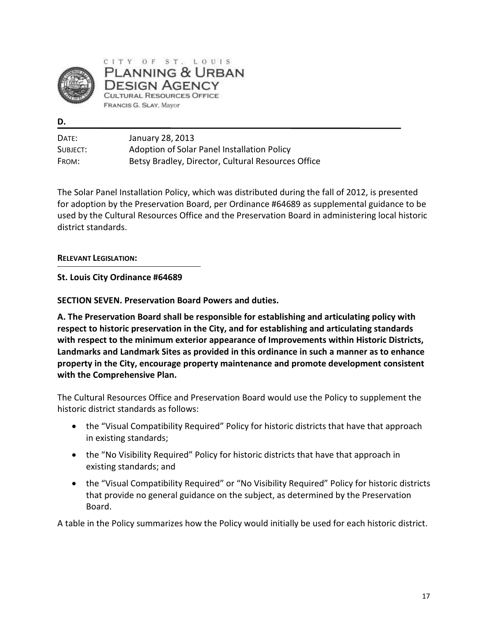

CITY OF ST. LOUIS PLANNING & URBAN DESIGN AGENCY CULTURAL RESOURCES OFFICE FRANCIS G. SLAY, Mayor

**D.** 

| DATE:    | January 28, 2013                                   |
|----------|----------------------------------------------------|
| SUBJECT: | Adoption of Solar Panel Installation Policy        |
| FROM:    | Betsy Bradley, Director, Cultural Resources Office |

The Solar Panel Installation Policy, which was distributed during the fall of 2012, is presented for adoption by the Preservation Board, per Ordinance #64689 as supplemental guidance to be used by the Cultural Resources Office and the Preservation Board in administering local historic district standards.

### **RELEVANT LEGISLATION:**

**St. Louis City Ordinance #64689** 

**SECTION SEVEN. Preservation Board Powers and duties.** 

**A. The Preservation Board shall be responsible for establishing and articulating policy with respect to historic preservation in the City, and for establishing and articulating standards with respect to the minimum exterior appearance of Improvements within Historic Districts, Landmarks and Landmark Sites as provided in this ordinance in such a manner as to enhance property in the City, encourage property maintenance and promote development consistent with the Comprehensive Plan.** 

The Cultural Resources Office and Preservation Board would use the Policy to supplement the historic district standards as follows:

- the "Visual Compatibility Required" Policy for historic districts that have that approach in existing standards;
- the "No Visibility Required" Policy for historic districts that have that approach in existing standards; and
- the "Visual Compatibility Required" or "No Visibility Required" Policy for historic districts that provide no general guidance on the subject, as determined by the Preservation Board.

A table in the Policy summarizes how the Policy would initially be used for each historic district.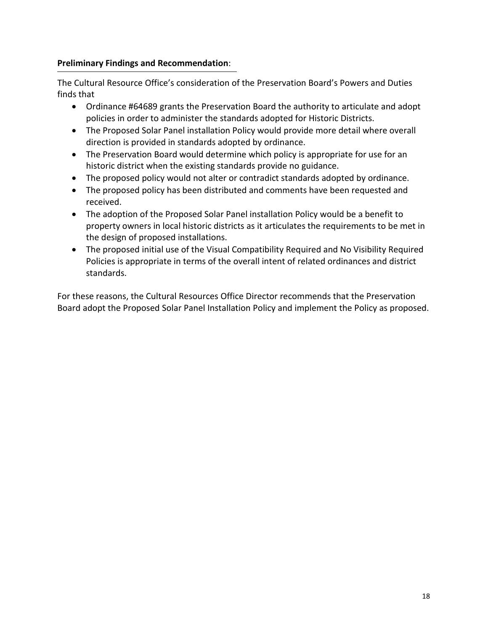### **Preliminary Findings and Recommendation**:

The Cultural Resource Office's consideration of the Preservation Board's Powers and Duties finds that

- Ordinance #64689 grants the Preservation Board the authority to articulate and adopt policies in order to administer the standards adopted for Historic Districts.
- The Proposed Solar Panel installation Policy would provide more detail where overall direction is provided in standards adopted by ordinance.
- The Preservation Board would determine which policy is appropriate for use for an historic district when the existing standards provide no guidance.
- The proposed policy would not alter or contradict standards adopted by ordinance.
- The proposed policy has been distributed and comments have been requested and received.
- The adoption of the Proposed Solar Panel installation Policy would be a benefit to property owners in local historic districts as it articulates the requirements to be met in the design of proposed installations.
- The proposed initial use of the Visual Compatibility Required and No Visibility Required Policies is appropriate in terms of the overall intent of related ordinances and district standards.

For these reasons, the Cultural Resources Office Director recommends that the Preservation Board adopt the Proposed Solar Panel Installation Policy and implement the Policy as proposed.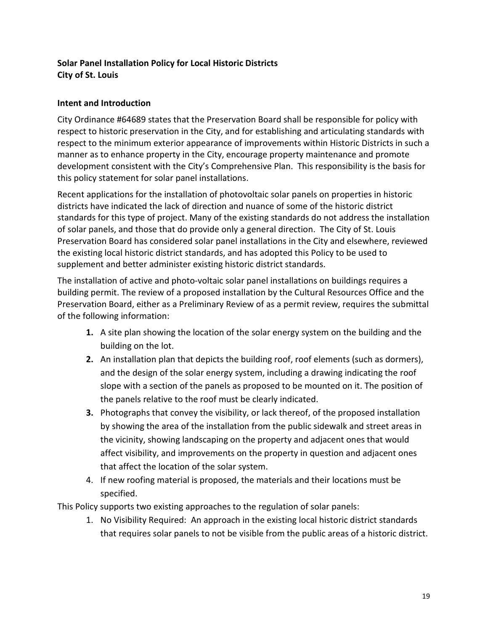# **Solar Panel Installation Policy for Local Historic Districts City of St. Louis**

### **Intent and Introduction**

City Ordinance #64689 states that the Preservation Board shall be responsible for policy with respect to historic preservation in the City, and for establishing and articulating standards with respect to the minimum exterior appearance of improvements within Historic Districts in such a manner as to enhance property in the City, encourage property maintenance and promote development consistent with the City's Comprehensive Plan. This responsibility is the basis for this policy statement for solar panel installations.

Recent applications for the installation of photovoltaic solar panels on properties in historic districts have indicated the lack of direction and nuance of some of the historic district standards for this type of project. Many of the existing standards do not address the installation of solar panels, and those that do provide only a general direction. The City of St. Louis Preservation Board has considered solar panel installations in the City and elsewhere, reviewed the existing local historic district standards, and has adopted this Policy to be used to supplement and better administer existing historic district standards.

The installation of active and photo-voltaic solar panel installations on buildings requires a building permit. The review of a proposed installation by the Cultural Resources Office and the Preservation Board, either as a Preliminary Review of as a permit review, requires the submittal of the following information:

- **1.** A site plan showing the location of the solar energy system on the building and the building on the lot.
- **2.** An installation plan that depicts the building roof, roof elements (such as dormers), and the design of the solar energy system, including a drawing indicating the roof slope with a section of the panels as proposed to be mounted on it. The position of the panels relative to the roof must be clearly indicated.
- **3.** Photographs that convey the visibility, or lack thereof, of the proposed installation by showing the area of the installation from the public sidewalk and street areas in the vicinity, showing landscaping on the property and adjacent ones that would affect visibility, and improvements on the property in question and adjacent ones that affect the location of the solar system.
- 4. If new roofing material is proposed, the materials and their locations must be specified.

This Policy supports two existing approaches to the regulation of solar panels:

1. No Visibility Required: An approach in the existing local historic district standards that requires solar panels to not be visible from the public areas of a historic district.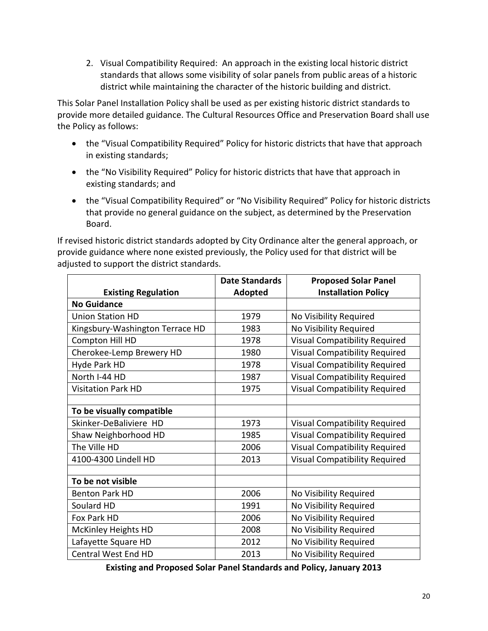2. Visual Compatibility Required: An approach in the existing local historic district standards that allows some visibility of solar panels from public areas of a historic district while maintaining the character of the historic building and district.

This Solar Panel Installation Policy shall be used as per existing historic district standards to provide more detailed guidance. The Cultural Resources Office and Preservation Board shall use the Policy as follows:

- the "Visual Compatibility Required" Policy for historic districts that have that approach in existing standards;
- the "No Visibility Required" Policy for historic districts that have that approach in existing standards; and
- the "Visual Compatibility Required" or "No Visibility Required" Policy for historic districts that provide no general guidance on the subject, as determined by the Preservation Board.

If revised historic district standards adopted by City Ordinance alter the general approach, or provide guidance where none existed previously, the Policy used for that district will be adjusted to support the district standards.

|                                 | <b>Date Standards</b> | <b>Proposed Solar Panel</b>          |
|---------------------------------|-----------------------|--------------------------------------|
| <b>Existing Regulation</b>      | Adopted               | <b>Installation Policy</b>           |
| <b>No Guidance</b>              |                       |                                      |
| <b>Union Station HD</b>         | 1979                  | No Visibility Required               |
| Kingsbury-Washington Terrace HD | 1983                  | No Visibility Required               |
| Compton Hill HD                 | 1978                  | <b>Visual Compatibility Required</b> |
| Cherokee-Lemp Brewery HD        | 1980                  | <b>Visual Compatibility Required</b> |
| Hyde Park HD                    | 1978                  | <b>Visual Compatibility Required</b> |
| North I-44 HD                   | 1987                  | <b>Visual Compatibility Required</b> |
| <b>Visitation Park HD</b>       | 1975                  | <b>Visual Compatibility Required</b> |
|                                 |                       |                                      |
| To be visually compatible       |                       |                                      |
| Skinker-DeBaliviere HD          | 1973                  | <b>Visual Compatibility Required</b> |
| Shaw Neighborhood HD            | 1985                  | <b>Visual Compatibility Required</b> |
| The Ville HD                    | 2006                  | <b>Visual Compatibility Required</b> |
| 4100-4300 Lindell HD            | 2013                  | <b>Visual Compatibility Required</b> |
|                                 |                       |                                      |
| To be not visible               |                       |                                      |
| <b>Benton Park HD</b>           | 2006                  | No Visibility Required               |
| Soulard HD                      | 1991                  | No Visibility Required               |
| Fox Park HD                     | 2006                  | No Visibility Required               |
| <b>McKinley Heights HD</b>      | 2008                  | No Visibility Required               |
| Lafayette Square HD             | 2012                  | No Visibility Required               |
| Central West End HD             | 2013                  | No Visibility Required               |

**Existing and Proposed Solar Panel Standards and Policy, January 2013**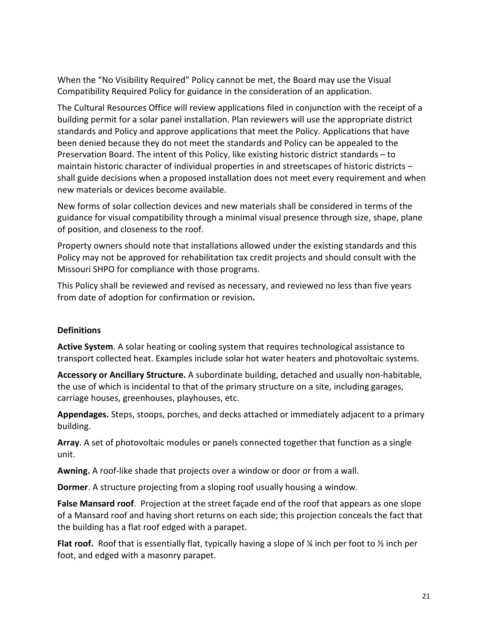When the "No Visibility Required" Policy cannot be met, the Board may use the Visual Compatibility Required Policy for guidance in the consideration of an application.

The Cultural Resources Office will review applications filed in conjunction with the receipt of a building permit for a solar panel installation. Plan reviewers will use the appropriate district standards and Policy and approve applications that meet the Policy. Applications that have been denied because they do not meet the standards and Policy can be appealed to the Preservation Board. The intent of this Policy, like existing historic district standards – to maintain historic character of individual properties in and streetscapes of historic districts – shall guide decisions when a proposed installation does not meet every requirement and when new materials or devices become available.

New forms of solar collection devices and new materials shall be considered in terms of the guidance for visual compatibility through a minimal visual presence through size, shape, plane of position, and closeness to the roof.

Property owners should note that installations allowed under the existing standards and this Policy may not be approved for rehabilitation tax credit projects and should consult with the Missouri SHPO for compliance with those programs.

This Policy shall be reviewed and revised as necessary, and reviewed no less than five years from date of adoption for confirmation or revision**.** 

### **Definitions**

**Active System**. A solar heating or cooling system that requires technological assistance to transport collected heat. Examples include solar hot water heaters and photovoltaic systems.

**Accessory or Ancillary Structure.** A subordinate building, detached and usually non-habitable, the use of which is incidental to that of the primary structure on a site, including garages, carriage houses, greenhouses, playhouses, etc.

**Appendages.** Steps, stoops, porches, and decks attached or immediately adjacent to a primary building.

**Array**. A set of photovoltaic modules or panels connected together that function as a single unit.

**Awning.** A roof-like shade that projects over a window or door or from a wall.

**Dormer**. A structure projecting from a sloping roof usually housing a window.

**False Mansard roof**. Projection at the street façade end of the roof that appears as one slope of a Mansard roof and having short returns on each side; this projection conceals the fact that the building has a flat roof edged with a parapet.

**Flat roof.** Roof that is essentially flat, typically having a slope of ¼ inch per foot to ½ inch per foot, and edged with a masonry parapet.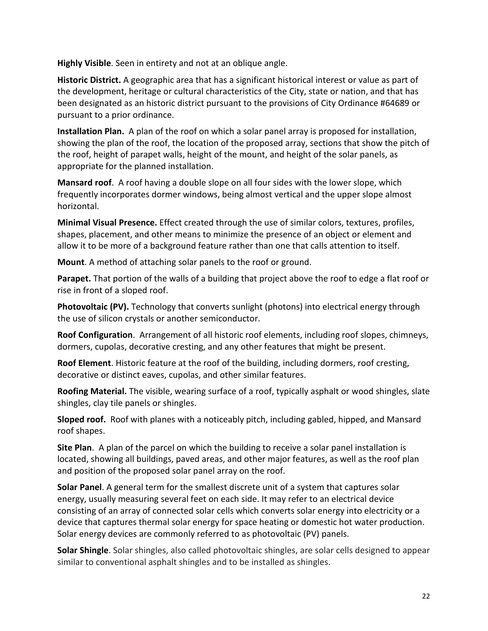**Highly Visible**. Seen in entirety and not at an oblique angle.

**Historic District.** A geographic area that has a significant historical interest or value as part of the development, heritage or cultural characteristics of the City, state or nation, and that has been designated as an historic district pursuant to the provisions of City Ordinance #64689 or pursuant to a prior ordinance.

**Installation Plan.** A plan of the roof on which a solar panel array is proposed for installation, showing the plan of the roof, the location of the proposed array, sections that show the pitch of the roof, height of parapet walls, height of the mount, and height of the solar panels, as appropriate for the planned installation.

**Mansard roof**. A roof having a double slope on all four sides with the lower slope, which frequently incorporates dormer windows, being almost vertical and the upper slope almost horizontal.

**Minimal Visual Presence.** Effect created through the use of similar colors, textures, profiles, shapes, placement, and other means to minimize the presence of an object or element and allow it to be more of a background feature rather than one that calls attention to itself.

**Mount**. A method of attaching solar panels to the roof or ground.

**Parapet.** That portion of the walls of a building that project above the roof to edge a flat roof or rise in front of a sloped roof.

**Photovoltaic (PV).** Technology that converts sunlight (photons) into electrical energy through the use of silicon crystals or another semiconductor.

**Roof Configuration**. Arrangement of all historic roof elements, including roof slopes, chimneys, dormers, cupolas, decorative cresting, and any other features that might be present.

**Roof Element**. Historic feature at the roof of the building, including dormers, roof cresting, decorative or distinct eaves, cupolas, and other similar features.

**Roofing Material.** The visible, wearing surface of a roof, typically asphalt or wood shingles, slate shingles, clay tile panels or shingles.

**Sloped roof.** Roof with planes with a noticeably pitch, including gabled, hipped, and Mansard roof shapes.

**Site Plan**. A plan of the parcel on which the building to receive a solar panel installation is located, showing all buildings, paved areas, and other major features, as well as the roof plan and position of the proposed solar panel array on the roof.

**Solar Panel**. A general term for the smallest discrete unit of a system that captures solar energy, usually measuring several feet on each side. It may refer to an electrical device consisting of an array of connected solar cells which converts solar energy into electricity or a device that captures thermal solar energy for space heating or domestic hot water production. Solar energy devices are commonly referred to as photovoltaic (PV) panels.

**Solar Shingle**. Solar shingles, also called photovoltaic shingles, are solar cells designed to appear similar to conventional asphalt shingles and to be installed as shingles.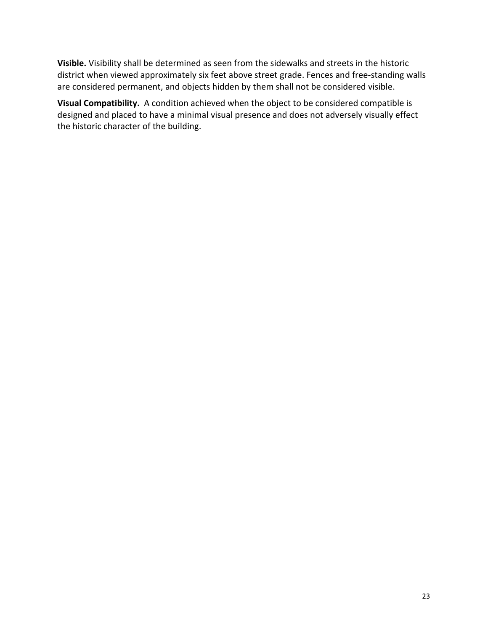**Visible.** Visibility shall be determined as seen from the sidewalks and streets in the historic district when viewed approximately six feet above street grade. Fences and free-standing walls are considered permanent, and objects hidden by them shall not be considered visible.

**Visual Compatibility.** A condition achieved when the object to be considered compatible is designed and placed to have a minimal visual presence and does not adversely visually effect the historic character of the building.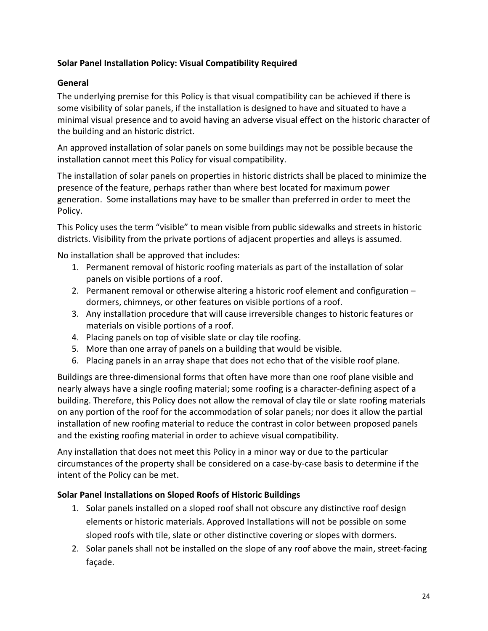# **Solar Panel Installation Policy: Visual Compatibility Required**

## **General**

The underlying premise for this Policy is that visual compatibility can be achieved if there is some visibility of solar panels, if the installation is designed to have and situated to have a minimal visual presence and to avoid having an adverse visual effect on the historic character of the building and an historic district.

An approved installation of solar panels on some buildings may not be possible because the installation cannot meet this Policy for visual compatibility.

The installation of solar panels on properties in historic districts shall be placed to minimize the presence of the feature, perhaps rather than where best located for maximum power generation. Some installations may have to be smaller than preferred in order to meet the Policy.

This Policy uses the term "visible" to mean visible from public sidewalks and streets in historic districts. Visibility from the private portions of adjacent properties and alleys is assumed.

No installation shall be approved that includes:

- 1. Permanent removal of historic roofing materials as part of the installation of solar panels on visible portions of a roof.
- 2. Permanent removal or otherwise altering a historic roof element and configuration dormers, chimneys, or other features on visible portions of a roof.
- 3. Any installation procedure that will cause irreversible changes to historic features or materials on visible portions of a roof.
- 4. Placing panels on top of visible slate or clay tile roofing.
- 5. More than one array of panels on a building that would be visible.
- 6. Placing panels in an array shape that does not echo that of the visible roof plane.

Buildings are three-dimensional forms that often have more than one roof plane visible and nearly always have a single roofing material; some roofing is a character-defining aspect of a building. Therefore, this Policy does not allow the removal of clay tile or slate roofing materials on any portion of the roof for the accommodation of solar panels; nor does it allow the partial installation of new roofing material to reduce the contrast in color between proposed panels and the existing roofing material in order to achieve visual compatibility.

Any installation that does not meet this Policy in a minor way or due to the particular circumstances of the property shall be considered on a case-by-case basis to determine if the intent of the Policy can be met.

### **Solar Panel Installations on Sloped Roofs of Historic Buildings**

- 1. Solar panels installed on a sloped roof shall not obscure any distinctive roof design elements or historic materials. Approved Installations will not be possible on some sloped roofs with tile, slate or other distinctive covering or slopes with dormers.
- 2. Solar panels shall not be installed on the slope of any roof above the main, street-facing façade.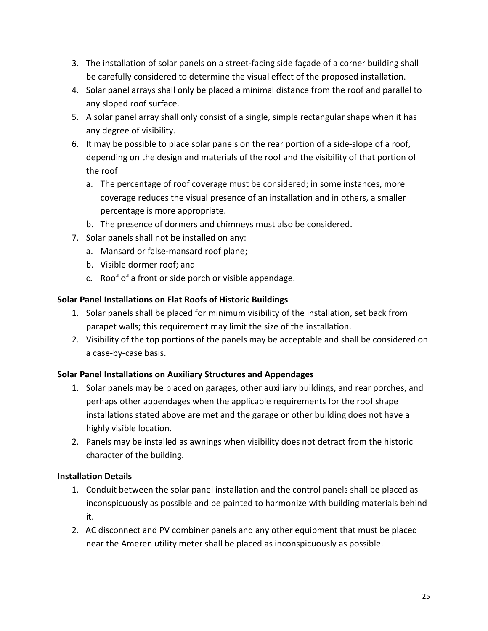- 3. The installation of solar panels on a street-facing side façade of a corner building shall be carefully considered to determine the visual effect of the proposed installation.
- 4. Solar panel arrays shall only be placed a minimal distance from the roof and parallel to any sloped roof surface.
- 5. A solar panel array shall only consist of a single, simple rectangular shape when it has any degree of visibility.
- 6. It may be possible to place solar panels on the rear portion of a side-slope of a roof, depending on the design and materials of the roof and the visibility of that portion of the roof
	- a. The percentage of roof coverage must be considered; in some instances, more coverage reduces the visual presence of an installation and in others, a smaller percentage is more appropriate.
	- b. The presence of dormers and chimneys must also be considered.
- 7. Solar panels shall not be installed on any:
	- a. Mansard or false-mansard roof plane;
	- b. Visible dormer roof; and
	- c. Roof of a front or side porch or visible appendage.

### **Solar Panel Installations on Flat Roofs of Historic Buildings**

- 1. Solar panels shall be placed for minimum visibility of the installation, set back from parapet walls; this requirement may limit the size of the installation.
- 2. Visibility of the top portions of the panels may be acceptable and shall be considered on a case-by-case basis.

# **Solar Panel Installations on Auxiliary Structures and Appendages**

- 1. Solar panels may be placed on garages, other auxiliary buildings, and rear porches, and perhaps other appendages when the applicable requirements for the roof shape installations stated above are met and the garage or other building does not have a highly visible location.
- 2. Panels may be installed as awnings when visibility does not detract from the historic character of the building.

### **Installation Details**

- 1. Conduit between the solar panel installation and the control panels shall be placed as inconspicuously as possible and be painted to harmonize with building materials behind it.
- 2. AC disconnect and PV combiner panels and any other equipment that must be placed near the Ameren utility meter shall be placed as inconspicuously as possible.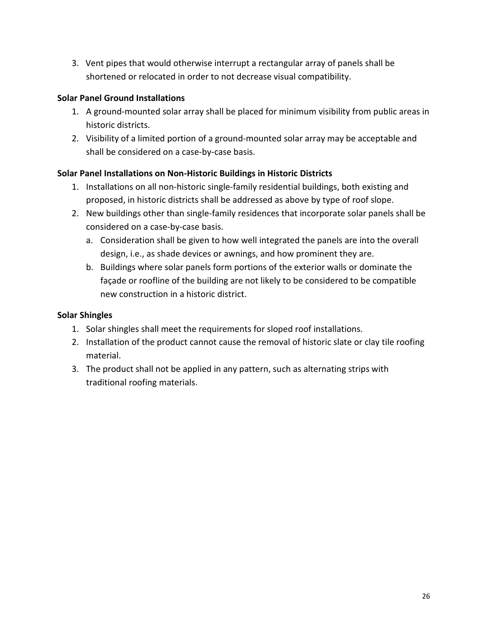3. Vent pipes that would otherwise interrupt a rectangular array of panels shall be shortened or relocated in order to not decrease visual compatibility.

# **Solar Panel Ground Installations**

- 1. A ground-mounted solar array shall be placed for minimum visibility from public areas in historic districts.
- 2. Visibility of a limited portion of a ground-mounted solar array may be acceptable and shall be considered on a case-by-case basis.

# **Solar Panel Installations on Non-Historic Buildings in Historic Districts**

- 1. Installations on all non-historic single-family residential buildings, both existing and proposed, in historic districts shall be addressed as above by type of roof slope.
- 2. New buildings other than single-family residences that incorporate solar panels shall be considered on a case-by-case basis.
	- a. Consideration shall be given to how well integrated the panels are into the overall design, i.e., as shade devices or awnings, and how prominent they are.
	- b. Buildings where solar panels form portions of the exterior walls or dominate the façade or roofline of the building are not likely to be considered to be compatible new construction in a historic district.

# **Solar Shingles**

- 1. Solar shingles shall meet the requirements for sloped roof installations.
- 2. Installation of the product cannot cause the removal of historic slate or clay tile roofing material.
- 3. The product shall not be applied in any pattern, such as alternating strips with traditional roofing materials.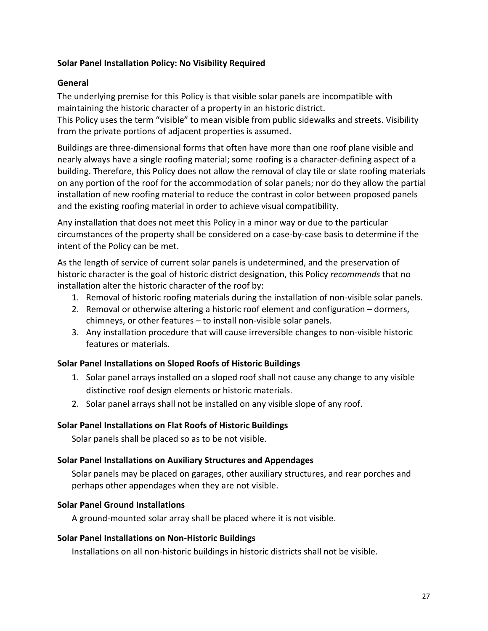### **Solar Panel Installation Policy: No Visibility Required**

### **General**

The underlying premise for this Policy is that visible solar panels are incompatible with maintaining the historic character of a property in an historic district.

This Policy uses the term "visible" to mean visible from public sidewalks and streets. Visibility from the private portions of adjacent properties is assumed.

Buildings are three-dimensional forms that often have more than one roof plane visible and nearly always have a single roofing material; some roofing is a character-defining aspect of a building. Therefore, this Policy does not allow the removal of clay tile or slate roofing materials on any portion of the roof for the accommodation of solar panels; nor do they allow the partial installation of new roofing material to reduce the contrast in color between proposed panels and the existing roofing material in order to achieve visual compatibility.

Any installation that does not meet this Policy in a minor way or due to the particular circumstances of the property shall be considered on a case-by-case basis to determine if the intent of the Policy can be met.

As the length of service of current solar panels is undetermined, and the preservation of historic character is the goal of historic district designation, this Policy *recommends* that no installation alter the historic character of the roof by:

- 1. Removal of historic roofing materials during the installation of non-visible solar panels.
- 2. Removal or otherwise altering a historic roof element and configuration dormers, chimneys, or other features – to install non-visible solar panels.
- 3. Any installation procedure that will cause irreversible changes to non-visible historic features or materials.

### **Solar Panel Installations on Sloped Roofs of Historic Buildings**

- 1. Solar panel arrays installed on a sloped roof shall not cause any change to any visible distinctive roof design elements or historic materials.
- 2. Solar panel arrays shall not be installed on any visible slope of any roof.

### **Solar Panel Installations on Flat Roofs of Historic Buildings**

Solar panels shall be placed so as to be not visible.

### **Solar Panel Installations on Auxiliary Structures and Appendages**

Solar panels may be placed on garages, other auxiliary structures, and rear porches and perhaps other appendages when they are not visible.

### **Solar Panel Ground Installations**

A ground-mounted solar array shall be placed where it is not visible.

### **Solar Panel Installations on Non-Historic Buildings**

Installations on all non-historic buildings in historic districts shall not be visible.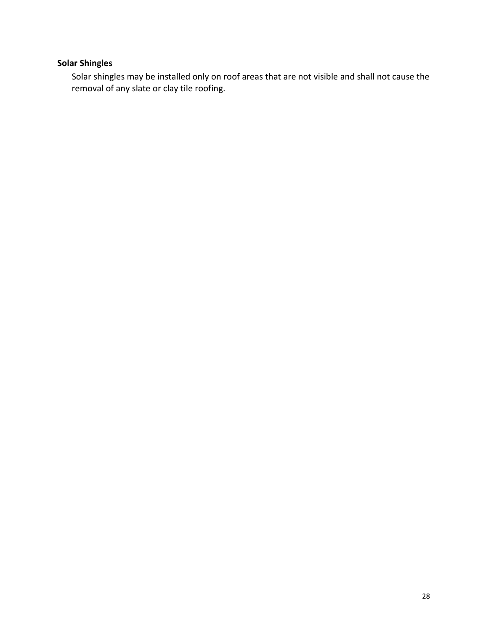# **Solar Shingles**

Solar shingles may be installed only on roof areas that are not visible and shall not cause the removal of any slate or clay tile roofing.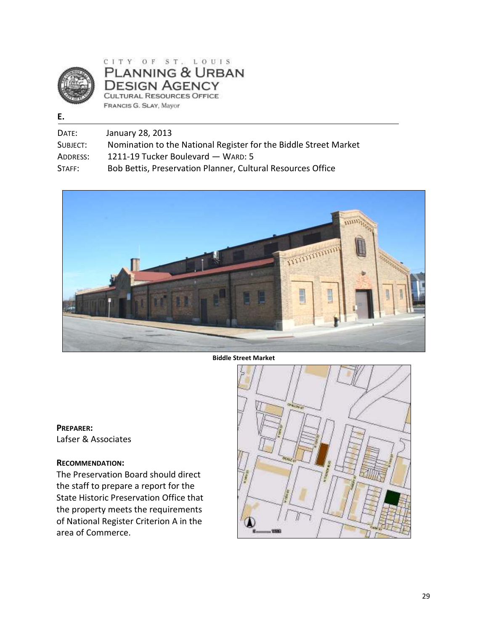

CITY OF ST. LOUIS PLANNING & URBAN **DESIGN AGENCY CULTURAL RESOURCES OFFICE** FRANCIS G. SLAY, Mayor

#### **E.**

| DATE:    | January 28, 2013                                                 |
|----------|------------------------------------------------------------------|
| SUBJECT: | Nomination to the National Register for the Biddle Street Market |
| ADDRESS: | 1211-19 Tucker Boulevard - WARD: 5                               |
| STAFF:   | Bob Bettis, Preservation Planner, Cultural Resources Office      |



**Biddle Street Market** 

**PREPARER:**  Lafser & Associates

#### **RECOMMENDATION:**

The Preservation Board should direct the staff to prepare a report for the State Historic Preservation Office that the property meets the requirements of National Register Criterion A in the area of Commerce.

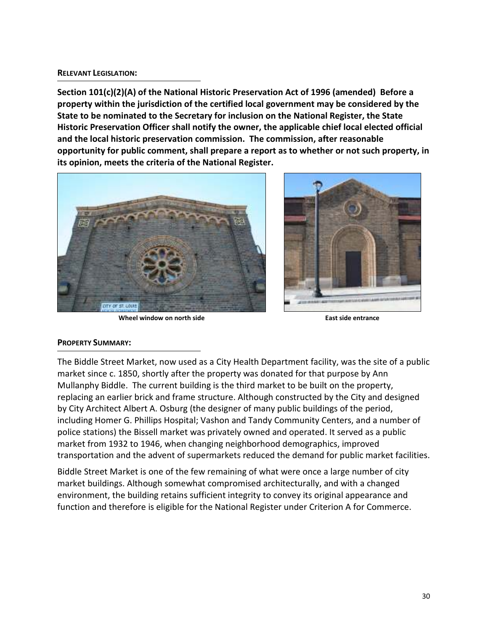#### **RELEVANT LEGISLATION:**

**Section 101(c)(2)(A) of the National Historic Preservation Act of 1996 (amended) Before a property within the jurisdiction of the certified local government may be considered by the State to be nominated to the Secretary for inclusion on the National Register, the State Historic Preservation Officer shall notify the owner, the applicable chief local elected official and the local historic preservation commission. The commission, after reasonable opportunity for public comment, shall prepare a report as to whether or not such property, in its opinion, meets the criteria of the National Register.** 



**Wheel window on north side East side entrance** 



#### **PROPERTY SUMMARY:**

The Biddle Street Market, now used as a City Health Department facility, was the site of a public market since c. 1850, shortly after the property was donated for that purpose by Ann Mullanphy Biddle. The current building is the third market to be built on the property, replacing an earlier brick and frame structure. Although constructed by the City and designed by City Architect Albert A. Osburg (the designer of many public buildings of the period, including Homer G. Phillips Hospital; Vashon and Tandy Community Centers, and a number of police stations) the Bissell market was privately owned and operated. It served as a public market from 1932 to 1946, when changing neighborhood demographics, improved transportation and the advent of supermarkets reduced the demand for public market facilities.

Biddle Street Market is one of the few remaining of what were once a large number of city market buildings. Although somewhat compromised architecturally, and with a changed environment, the building retains sufficient integrity to convey its original appearance and function and therefore is eligible for the National Register under Criterion A for Commerce.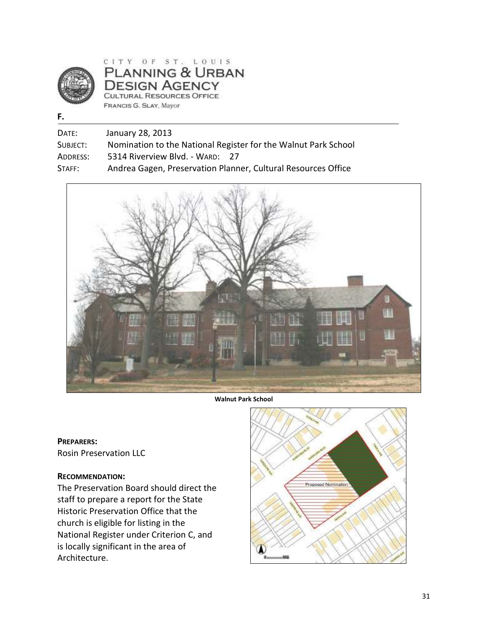

CITY OF ST. LOUIS PLANNING & URBAN DESIGN AGENCY CULTURAL RESOURCES OFFICE FRANCIS G. SLAY, Mayor

#### **F.**

DATE: January 28, 2013

SUBJECT: Nomination to the National Register for the Walnut Park School

ADDRESS: 5314 Riverview Blvd. - WARD: 27

STAFF: Andrea Gagen, Preservation Planner, Cultural Resources Office



**Walnut Park School** 

**PREPARERS:**  Rosin Preservation LLC

### **RECOMMENDATION:**

The Preservation Board should direct the staff to prepare a report for the State Historic Preservation Office that the church is eligible for listing in the National Register under Criterion C, and is locally significant in the area of Architecture.